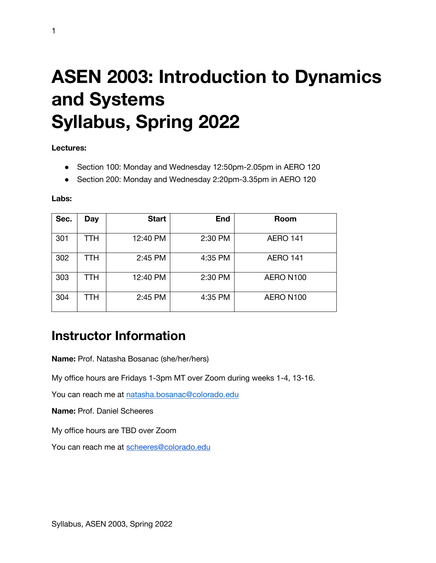# **ASEN 2003: Introduction to Dynamics and Systems Syllabus, Spring 2022**

**Lectures:** 

- Section 100: Monday and Wednesday 12:50pm-2.05pm in AERO 120
- Section 200: Monday and Wednesday 2:20pm-3.35pm in AERO 120

**Labs:**

| Sec. | Day | <b>Start</b> | <b>End</b> | <b>Room</b>     |
|------|-----|--------------|------------|-----------------|
| 301  | TTH | 12:40 PM     | 2:30 PM    | <b>AERO 141</b> |
| 302  | TTH | 2:45 PM      | 4:35 PM    | <b>AERO 141</b> |
| 303  | TTH | 12:40 PM     | 2:30 PM    | AERO N100       |
| 304  | TTH | 2:45 PM      | 4:35 PM    | AERO N100       |

### **Instructor Information**

**Name:** Prof. Natasha Bosanac (she/her/hers)

My office hours are Fridays 1-3pm MT over Zoom during weeks 1-4, 13-16.

You can reach me at natasha.bosanac@colorado.edu

**Name:** Prof. Daniel Scheeres

My office hours are TBD over Zoom

You can reach me at scheeres@colorado.edu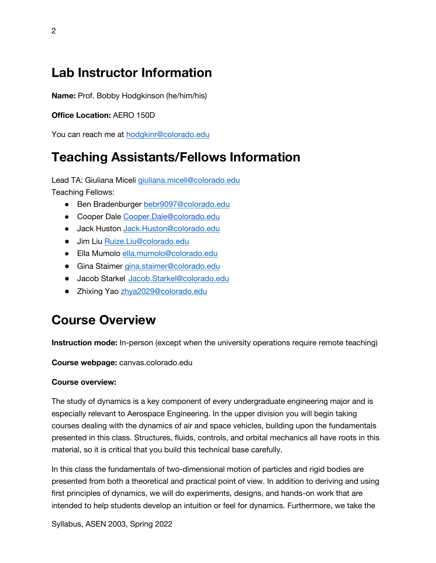### **Lab Instructor Information**

**Name:** Prof. Bobby Hodgkinson (he/him/his)

#### **Office Location:** AERO 150D

You can reach me at hodgkinr@colorado.edu

### **Teaching Assistants/Fellows Information**

Lead TA: Giuliana Miceli giuliana.miceli@colorado.edu Teaching Fellows:

- Ben Bradenburger bebr9097@colorado.edu
- Cooper Dale Cooper.Dale@colorado.edu
- Jack Huston Jack.Huston@colorado.edu
- Jim Liu Ruize.Liu@colorado.edu
- Ella Mumolo ella.mumolo@colorado.edu
- Gina Staimer gina.staimer@colorado.edu
- Jacob Starkel Jacob.Starkel@colorado.edu
- Zhixing Yao zhya2029@colorado.edu

# **Course Overview**

**Instruction mode:** In-person (except when the university operations require remote teaching)

**Course webpage:** canvas.colorado.edu

#### **Course overview:**

The study of dynamics is a key component of every undergraduate engineering major and is especially relevant to Aerospace Engineering. In the upper division you will begin taking courses dealing with the dynamics of air and space vehicles, building upon the fundamentals presented in this class. Structures, fluids, controls, and orbital mechanics all have roots in this material, so it is critical that you build this technical base carefully.

In this class the fundamentals of two-dimensional motion of particles and rigid bodies are presented from both a theoretical and practical point of view. In addition to deriving and using first principles of dynamics, we will do experiments, designs, and hands-on work that are intended to help students develop an intuition or feel for dynamics. Furthermore, we take the

Syllabus, ASEN 2003, Spring 2022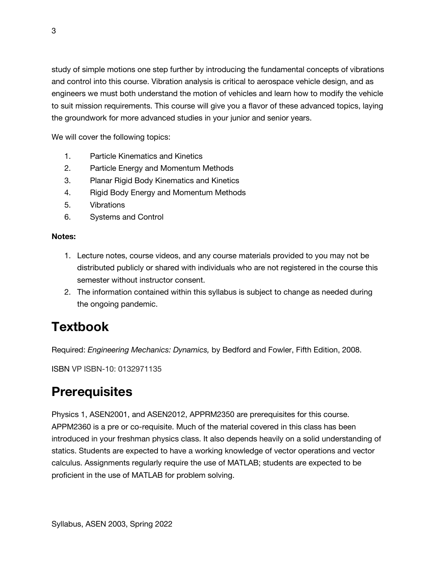study of simple motions one step further by introducing the fundamental concepts of vibrations and control into this course. Vibration analysis is critical to aerospace vehicle design, and as engineers we must both understand the motion of vehicles and learn how to modify the vehicle to suit mission requirements. This course will give you a flavor of these advanced topics, laying the groundwork for more advanced studies in your junior and senior years.

We will cover the following topics:

- 1. Particle Kinematics and Kinetics
- 2. Particle Energy and Momentum Methods
- 3. Planar Rigid Body Kinematics and Kinetics
- 4. Rigid Body Energy and Momentum Methods
- 5. Vibrations
- 6. Systems and Control

#### **Notes:**

- 1. Lecture notes, course videos, and any course materials provided to you may not be distributed publicly or shared with individuals who are not registered in the course this semester without instructor consent.
- 2. The information contained within this syllabus is subject to change as needed during the ongoing pandemic.

# **Textbook**

Required: *Engineering Mechanics: Dynamics,* by Bedford and Fowler, Fifth Edition, 2008.

ISBN VP ISBN-10: 0132971135

# **Prerequisites**

Physics 1, ASEN2001, and ASEN2012, APPRM2350 are prerequisites for this course. APPM2360 is a pre or co-requisite. Much of the material covered in this class has been introduced in your freshman physics class. It also depends heavily on a solid understanding of statics. Students are expected to have a working knowledge of vector operations and vector calculus. Assignments regularly require the use of MATLAB; students are expected to be proficient in the use of MATLAB for problem solving.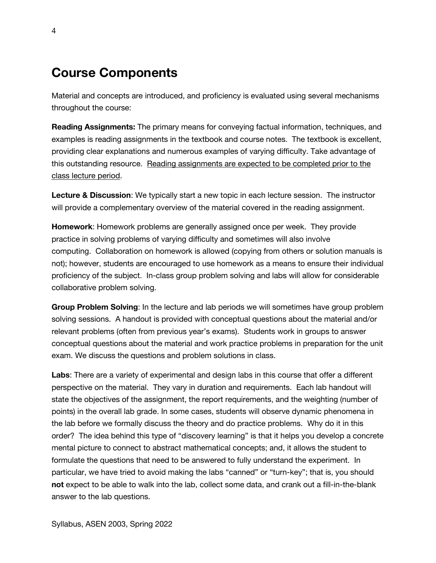### **Course Components**

Material and concepts are introduced, and proficiency is evaluated using several mechanisms throughout the course:

**Reading Assignments:** The primary means for conveying factual information, techniques, and examples is reading assignments in the textbook and course notes. The textbook is excellent, providing clear explanations and numerous examples of varying difficulty. Take advantage of this outstanding resource. Reading assignments are expected to be completed prior to the class lecture period.

**Lecture & Discussion**: We typically start a new topic in each lecture session. The instructor will provide a complementary overview of the material covered in the reading assignment.

**Homework**: Homework problems are generally assigned once per week. They provide practice in solving problems of varying difficulty and sometimes will also involve computing. Collaboration on homework is allowed (copying from others or solution manuals is not); however, students are encouraged to use homework as a means to ensure their individual proficiency of the subject. In-class group problem solving and labs will allow for considerable collaborative problem solving.

**Group Problem Solving**: In the lecture and lab periods we will sometimes have group problem solving sessions. A handout is provided with conceptual questions about the material and/or relevant problems (often from previous year's exams). Students work in groups to answer conceptual questions about the material and work practice problems in preparation for the unit exam. We discuss the questions and problem solutions in class.

**Labs**: There are a variety of experimental and design labs in this course that offer a different perspective on the material. They vary in duration and requirements. Each lab handout will state the objectives of the assignment, the report requirements, and the weighting (number of points) in the overall lab grade. In some cases, students will observe dynamic phenomena in the lab before we formally discuss the theory and do practice problems. Why do it in this order? The idea behind this type of "discovery learning" is that it helps you develop a concrete mental picture to connect to abstract mathematical concepts; and, it allows the student to formulate the questions that need to be answered to fully understand the experiment. In particular, we have tried to avoid making the labs "canned" or "turn-key"; that is, you should **not** expect to be able to walk into the lab, collect some data, and crank out a fill-in-the-blank answer to the lab questions.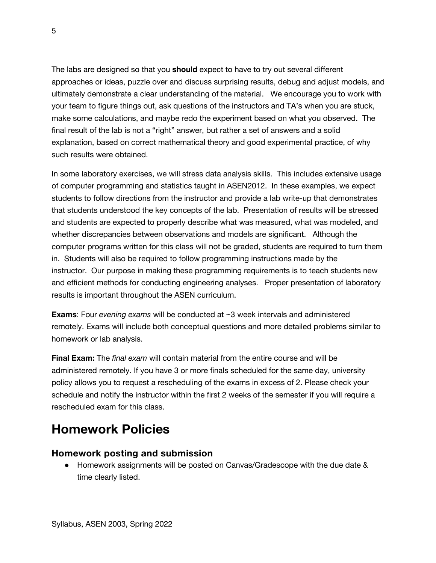The labs are designed so that you **should** expect to have to try out several different approaches or ideas, puzzle over and discuss surprising results, debug and adjust models, and ultimately demonstrate a clear understanding of the material. We encourage you to work with your team to figure things out, ask questions of the instructors and TA's when you are stuck, make some calculations, and maybe redo the experiment based on what you observed. The final result of the lab is not a "right" answer, but rather a set of answers and a solid explanation, based on correct mathematical theory and good experimental practice, of why such results were obtained.

In some laboratory exercises, we will stress data analysis skills. This includes extensive usage of computer programming and statistics taught in ASEN2012. In these examples, we expect students to follow directions from the instructor and provide a lab write-up that demonstrates that students understood the key concepts of the lab. Presentation of results will be stressed and students are expected to properly describe what was measured, what was modeled, and whether discrepancies between observations and models are significant. Although the computer programs written for this class will not be graded, students are required to turn them in. Students will also be required to follow programming instructions made by the instructor. Our purpose in making these programming requirements is to teach students new and efficient methods for conducting engineering analyses. Proper presentation of laboratory results is important throughout the ASEN curriculum.

**Exams**: Four *evening exams* will be conducted at ~3 week intervals and administered remotely. Exams will include both conceptual questions and more detailed problems similar to homework or lab analysis.

**Final Exam:** The *final exam* will contain material from the entire course and will be administered remotely. If you have 3 or more finals scheduled for the same day, university policy allows you to request a rescheduling of the exams in excess of 2. Please check your schedule and notify the instructor within the first 2 weeks of the semester if you will require a rescheduled exam for this class.

### **Homework Policies**

#### **Homework posting and submission**

● Homework assignments will be posted on Canvas/Gradescope with the due date & time clearly listed.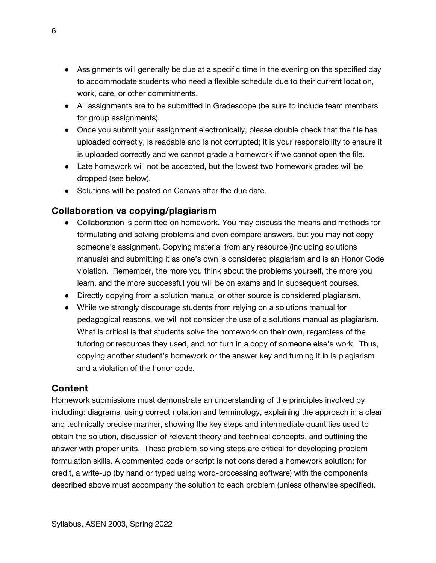- Assignments will generally be due at a specific time in the evening on the specified day to accommodate students who need a flexible schedule due to their current location, work, care, or other commitments.
- All assignments are to be submitted in Gradescope (be sure to include team members for group assignments).
- Once you submit your assignment electronically, please double check that the file has uploaded correctly, is readable and is not corrupted; it is your responsibility to ensure it is uploaded correctly and we cannot grade a homework if we cannot open the file.
- Late homework will not be accepted, but the lowest two homework grades will be dropped (see below).
- Solutions will be posted on Canvas after the due date.

#### **Collaboration vs copying/plagiarism**

- Collaboration is permitted on homework. You may discuss the means and methods for formulating and solving problems and even compare answers, but you may not copy someone's assignment. Copying material from any resource (including solutions manuals) and submitting it as one's own is considered plagiarism and is an Honor Code violation. Remember, the more you think about the problems yourself, the more you learn, and the more successful you will be on exams and in subsequent courses.
- Directly copying from a solution manual or other source is considered plagiarism.
- While we strongly discourage students from relying on a solutions manual for pedagogical reasons, we will not consider the use of a solutions manual as plagiarism. What is critical is that students solve the homework on their own, regardless of the tutoring or resources they used, and not turn in a copy of someone else's work. Thus, copying another student's homework or the answer key and turning it in is plagiarism and a violation of the honor code.

#### **Content**

Homework submissions must demonstrate an understanding of the principles involved by including: diagrams, using correct notation and terminology, explaining the approach in a clear and technically precise manner, showing the key steps and intermediate quantities used to obtain the solution, discussion of relevant theory and technical concepts, and outlining the answer with proper units. These problem-solving steps are critical for developing problem formulation skills. A commented code or script is not considered a homework solution; for credit, a write-up (by hand or typed using word-processing software) with the components described above must accompany the solution to each problem (unless otherwise specified).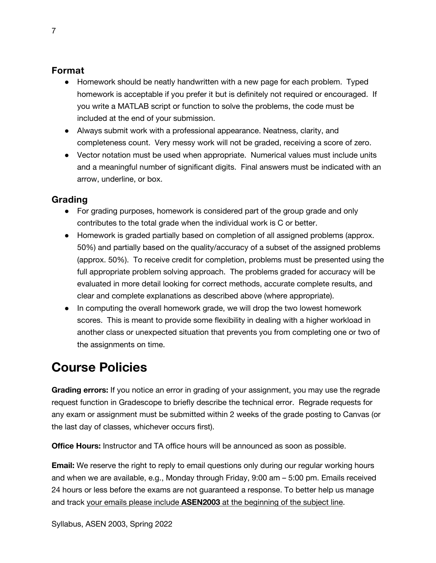#### **Format**

- Homework should be neatly handwritten with a new page for each problem. Typed homework is acceptable if you prefer it but is definitely not required or encouraged. If you write a MATLAB script or function to solve the problems, the code must be included at the end of your submission.
- Always submit work with a professional appearance. Neatness, clarity, and completeness count. Very messy work will not be graded, receiving a score of zero.
- Vector notation must be used when appropriate. Numerical values must include units and a meaningful number of significant digits. Final answers must be indicated with an arrow, underline, or box.

#### **Grading**

- For grading purposes, homework is considered part of the group grade and only contributes to the total grade when the individual work is C or better.
- Homework is graded partially based on completion of all assigned problems (approx. 50%) and partially based on the quality/accuracy of a subset of the assigned problems (approx. 50%). To receive credit for completion, problems must be presented using the full appropriate problem solving approach. The problems graded for accuracy will be evaluated in more detail looking for correct methods, accurate complete results, and clear and complete explanations as described above (where appropriate).
- In computing the overall homework grade, we will drop the two lowest homework scores. This is meant to provide some flexibility in dealing with a higher workload in another class or unexpected situation that prevents you from completing one or two of the assignments on time.

# **Course Policies**

**Grading errors:** If you notice an error in grading of your assignment, you may use the regrade request function in Gradescope to briefly describe the technical error. Regrade requests for any exam or assignment must be submitted within 2 weeks of the grade posting to Canvas (or the last day of classes, whichever occurs first).

**Office Hours:** Instructor and TA office hours will be announced as soon as possible.

**Email:** We reserve the right to reply to email questions only during our regular working hours and when we are available, e.g., Monday through Friday, 9:00 am – 5:00 pm. Emails received 24 hours or less before the exams are not guaranteed a response. To better help us manage and track your emails please include **ASEN2003** at the beginning of the subject line.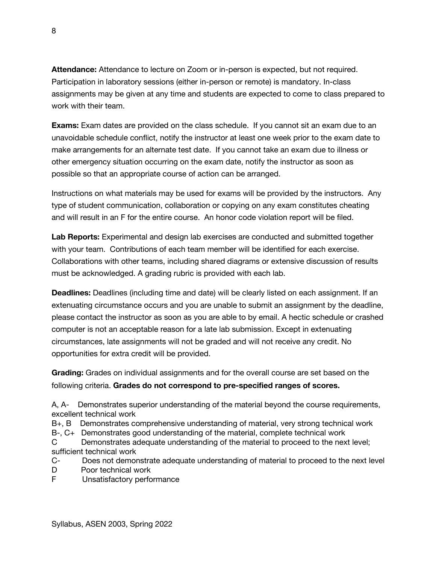**Attendance:** Attendance to lecture on Zoom or in-person is expected, but not required. Participation in laboratory sessions (either in-person or remote) is mandatory. In-class assignments may be given at any time and students are expected to come to class prepared to work with their team.

**Exams:** Exam dates are provided on the class schedule. If you cannot sit an exam due to an unavoidable schedule conflict, notify the instructor at least one week prior to the exam date to make arrangements for an alternate test date. If you cannot take an exam due to illness or other emergency situation occurring on the exam date, notify the instructor as soon as possible so that an appropriate course of action can be arranged.

Instructions on what materials may be used for exams will be provided by the instructors. Any type of student communication, collaboration or copying on any exam constitutes cheating and will result in an F for the entire course. An honor code violation report will be filed.

**Lab Reports:** Experimental and design lab exercises are conducted and submitted together with your team. Contributions of each team member will be identified for each exercise. Collaborations with other teams, including shared diagrams or extensive discussion of results must be acknowledged. A grading rubric is provided with each lab.

**Deadlines:** Deadlines (including time and date) will be clearly listed on each assignment. If an extenuating circumstance occurs and you are unable to submit an assignment by the deadline, please contact the instructor as soon as you are able to by email. A hectic schedule or crashed computer is not an acceptable reason for a late lab submission. Except in extenuating circumstances, late assignments will not be graded and will not receive any credit. No opportunities for extra credit will be provided.

**Grading:** Grades on individual assignments and for the overall course are set based on the following criteria. **Grades do not correspond to pre-specified ranges of scores.**

A, A- Demonstrates superior understanding of the material beyond the course requirements, excellent technical work

B+, B Demonstrates comprehensive understanding of material, very strong technical work

B-, C+ Demonstrates good understanding of the material, complete technical work

C Demonstrates adequate understanding of the material to proceed to the next level; sufficient technical work

C- Does not demonstrate adequate understanding of material to proceed to the next level D Poor technical work

F Unsatisfactory performance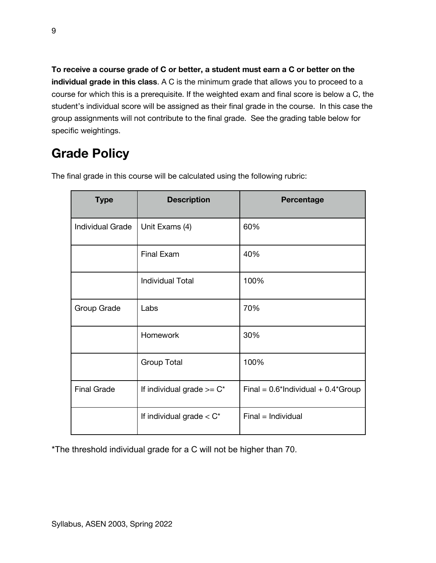**To receive a course grade of C or better, a student must earn a C or better on the individual grade in this class**. A C is the minimum grade that allows you to proceed to a course for which this is a prerequisite. If the weighted exam and final score is below a C, the student's individual score will be assigned as their final grade in the course. In this case the group assignments will not contribute to the final grade. See the grading table below for specific weightings.

# **Grade Policy**

| <b>Type</b>             | <b>Description</b>            | Percentage                               |
|-------------------------|-------------------------------|------------------------------------------|
| <b>Individual Grade</b> | Unit Exams (4)                | 60%                                      |
|                         | <b>Final Exam</b>             | 40%                                      |
|                         | <b>Individual Total</b>       | 100%                                     |
| Group Grade             | Labs                          | 70%                                      |
|                         | <b>Homework</b>               | 30%                                      |
|                         | <b>Group Total</b>            | 100%                                     |
| <b>Final Grade</b>      | If individual grade $>= C^*$  | Final = $0.6$ *Individual + $0.4$ *Group |
|                         | If individual grade $<$ $C^*$ | $Final = Individual$                     |

The final grade in this course will be calculated using the following rubric:

\*The threshold individual grade for a C will not be higher than 70.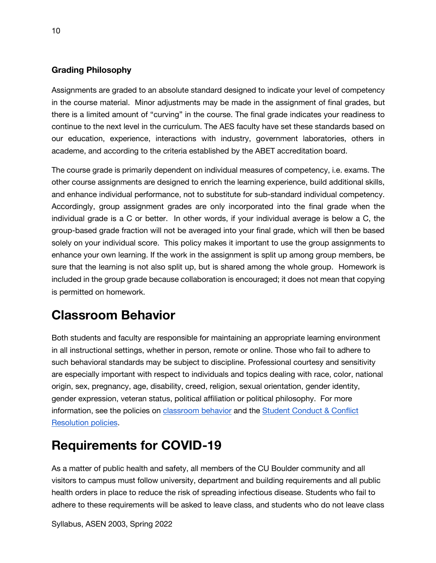#### **Grading Philosophy**

Assignments are graded to an absolute standard designed to indicate your level of competency in the course material. Minor adjustments may be made in the assignment of final grades, but there is a limited amount of "curving" in the course. The final grade indicates your readiness to continue to the next level in the curriculum. The AES faculty have set these standards based on our education, experience, interactions with industry, government laboratories, others in academe, and according to the criteria established by the ABET accreditation board.

The course grade is primarily dependent on individual measures of competency, i.e. exams. The other course assignments are designed to enrich the learning experience, build additional skills, and enhance individual performance, not to substitute for sub-standard individual competency. Accordingly, group assignment grades are only incorporated into the final grade when the individual grade is a C or better. In other words, if your individual average is below a C, the group-based grade fraction will not be averaged into your final grade, which will then be based solely on your individual score. This policy makes it important to use the group assignments to enhance your own learning. If the work in the assignment is split up among group members, be sure that the learning is not also split up, but is shared among the whole group. Homework is included in the group grade because collaboration is encouraged; it does not mean that copying is permitted on homework.

### **Classroom Behavior**

Both students and faculty are responsible for maintaining an appropriate learning environment in all instructional settings, whether in person, remote or online. Those who fail to adhere to such behavioral standards may be subject to discipline. Professional courtesy and sensitivity are especially important with respect to individuals and topics dealing with race, color, national origin, sex, pregnancy, age, disability, creed, religion, sexual orientation, gender identity, gender expression, veteran status, political affiliation or political philosophy. For more information, see the policies on classroom behavior and the Student Conduct & Conflict Resolution policies.

# **Requirements for COVID-19**

As a matter of public health and safety, all members of the CU Boulder community and all visitors to campus must follow university, department and building requirements and all public health orders in place to reduce the risk of spreading infectious disease. Students who fail to adhere to these requirements will be asked to leave class, and students who do not leave class

Syllabus, ASEN 2003, Spring 2022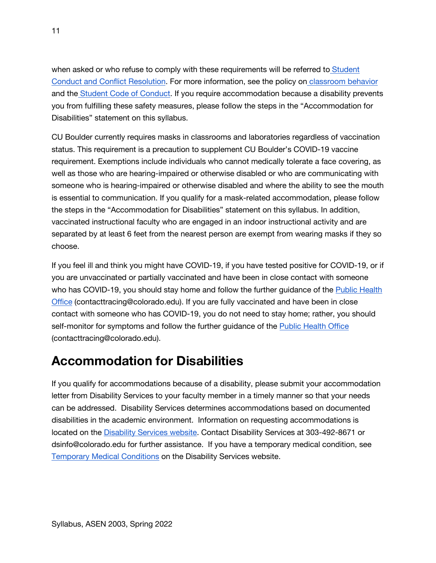when asked or who refuse to comply with these requirements will be referred to Student Conduct and Conflict Resolution. For more information, see the policy on classroom behavior and the Student Code of Conduct. If you require accommodation because a disability prevents you from fulfilling these safety measures, please follow the steps in the "Accommodation for Disabilities" statement on this syllabus.

CU Boulder currently requires masks in classrooms and laboratories regardless of vaccination status. This requirement is a precaution to supplement CU Boulder's COVID-19 vaccine requirement. Exemptions include individuals who cannot medically tolerate a face covering, as well as those who are hearing-impaired or otherwise disabled or who are communicating with someone who is hearing-impaired or otherwise disabled and where the ability to see the mouth is essential to communication. If you qualify for a mask-related accommodation, please follow the steps in the "Accommodation for Disabilities" statement on this syllabus. In addition, vaccinated instructional faculty who are engaged in an indoor instructional activity and are separated by at least 6 feet from the nearest person are exempt from wearing masks if they so choose.

If you feel ill and think you might have COVID-19, if you have tested positive for COVID-19, or if you are unvaccinated or partially vaccinated and have been in close contact with someone who has COVID-19, you should stay home and follow the further guidance of the Public Health Office (contacttracing@colorado.edu). If you are fully vaccinated and have been in close contact with someone who has COVID-19, you do not need to stay home; rather, you should self-monitor for symptoms and follow the further guidance of the Public Health Office (contacttracing@colorado.edu).

### **Accommodation for Disabilities**

If you qualify for accommodations because of a disability, please submit your accommodation letter from Disability Services to your faculty member in a timely manner so that your needs can be addressed. Disability Services determines accommodations based on documented disabilities in the academic environment. Information on requesting accommodations is located on the Disability Services website. Contact Disability Services at 303-492-8671 or dsinfo@colorado.edu for further assistance. If you have a temporary medical condition, see Temporary Medical Conditions on the Disability Services website.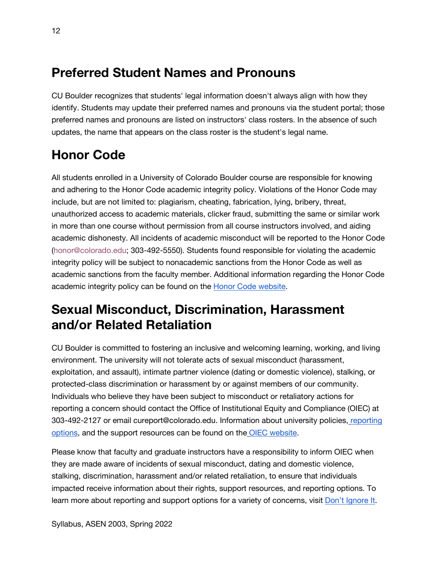### **Preferred Student Names and Pronouns**

CU Boulder recognizes that students' legal information doesn't always align with how they identify. Students may update their preferred names and pronouns via the student portal; those preferred names and pronouns are listed on instructors' class rosters. In the absence of such updates, the name that appears on the class roster is the student's legal name.

# **Honor Code**

All students enrolled in a University of Colorado Boulder course are responsible for knowing and adhering to the Honor Code academic integrity policy. Violations of the Honor Code may include, but are not limited to: plagiarism, cheating, fabrication, lying, bribery, threat, unauthorized access to academic materials, clicker fraud, submitting the same or similar work in more than one course without permission from all course instructors involved, and aiding academic dishonesty. All incidents of academic misconduct will be reported to the Honor Code (honor@colorado.edu; 303-492-5550). Students found responsible for violating the academic integrity policy will be subject to nonacademic sanctions from the Honor Code as well as academic sanctions from the faculty member. Additional information regarding the Honor Code academic integrity policy can be found on the Honor Code website.

# **Sexual Misconduct, Discrimination, Harassment and/or Related Retaliation**

CU Boulder is committed to fostering an inclusive and welcoming learning, working, and living environment. The university will not tolerate acts of sexual misconduct (harassment, exploitation, and assault), intimate partner violence (dating or domestic violence), stalking, or protected-class discrimination or harassment by or against members of our community. Individuals who believe they have been subject to misconduct or retaliatory actions for reporting a concern should contact the Office of Institutional Equity and Compliance (OIEC) at 303-492-2127 or email cureport@colorado.edu. Information about university policies, reporting options, and the support resources can be found on the OIEC website.

Please know that faculty and graduate instructors have a responsibility to inform OIEC when they are made aware of incidents of sexual misconduct, dating and domestic violence, stalking, discrimination, harassment and/or related retaliation, to ensure that individuals impacted receive information about their rights, support resources, and reporting options. To learn more about reporting and support options for a variety of concerns, visit Don't Ignore It.